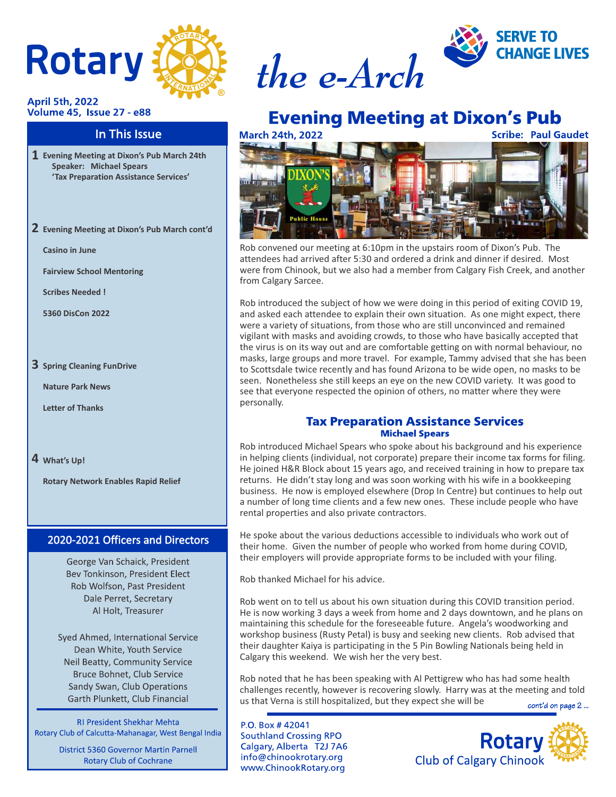

#### **April 5th, 2022 Volume 45, Issue 27 - e88**

### In This Issue

- **Evening Meeting at Dixon's Pub March 24th Speaker: Michael Spears 'Tax Preparation Assistance Services'**
- **Evening Meeting at Dixon's Pub March cont'd 2**

**Casino in June**

**Fairview School Mentoring**

**Scribes Needed !**

**5360 DisCon 2022**

### **3** Spring Cleaning FunDrive

**Nature Park News**

**Letter of Thanks**

**What's Up! 4**

**Rotary Network Enables Rapid Relief**

### 2020-2021 Officers and Directors

George Van Schaick, President Bev Tonkinson, President Elect Rob Wolfson, Past President Dale Perret, Secretary Al Holt, Treasurer

Syed Ahmed, International Service Dean White, Youth Service Neil Beatty, Community Service Bruce Bohnet, Club Service Sandy Swan, Club Operations Garth Plunkett, Club Financial

**RI President Shekhar Mehta** Rotary Club of Calcutta-Mahanagar, West Bengal India

**District 5360 Governor Martin Parnell Rotary Club of Cochrane** 





### **Evening Meeting at Dixon's Pub March 24th, 2022**

**Scribe: Paul Gaudet** 



Rob convened our meeting at 6:10pm in the upstairs room of Dixon's Pub. The attendees had arrived after 5:30 and ordered a drink and dinner if desired. Most were from Chinook, but we also had a member from Calgary Fish Creek, and another from Calgary Sarcee.

Rob introduced the subject of how we were doing in this period of exiting COVID 19, and asked each attendee to explain their own situation. As one might expect, there were a variety of situations, from those who are still unconvinced and remained vigilant with masks and avoiding crowds, to those who have basically accepted that the virus is on its way out and are comfortable getting on with normal behaviour, no masks, large groups and more travel. For example, Tammy advised that she has been to Scottsdale twice recently and has found Arizona to be wide open, no masks to be seen. Nonetheless she still keeps an eye on the new COVID variety. It was good to see that everyone respected the opinion of others, no matter where they were personally.

### **Tax Preparation Assistance Services Michael Spears**

Rob introduced Michael Spears who spoke about his background and his experience in helping clients (individual, not corporate) prepare their income tax forms for filing. He joined H&R Block about 15 years ago, and received training in how to prepare tax returns. He didn't stay long and was soon working with his wife in a bookkeeping business. He now is employed elsewhere (Drop In Centre) but continues to help out a number of long time clients and a few new ones. These include people who have rental properties and also private contractors.

He spoke about the various deductions accessible to individuals who work out of their home. Given the number of people who worked from home during COVID, their employers will provide appropriate forms to be included with your filing.

Rob thanked Michael for his advice.

Rob went on to tell us about his own situation during this COVID transition period. He is now working 3 days a week from home and 2 days downtown, and he plans on maintaining this schedule for the foreseeable future. Angela's woodworking and workshop business (Rusty Petal) is busy and seeking new clients. Rob advised that their daughter Kaiya is participating in the 5 Pin Bowling Nationals being held in Calgary this weekend. We wish her the very best.

Rob noted that he has been speaking with Al Pettigrew who has had some health challenges recently, however is recovering slowly. Harry was at the meeting and told us that Verna is still hospitalized, but they expect she will be cont'd on page 2...

P.O. Box #42041 **Southland Crossing RPO** Calgary, Alberta T2J 7A6 info@chinookrotary.org www.ChinookRotary.org

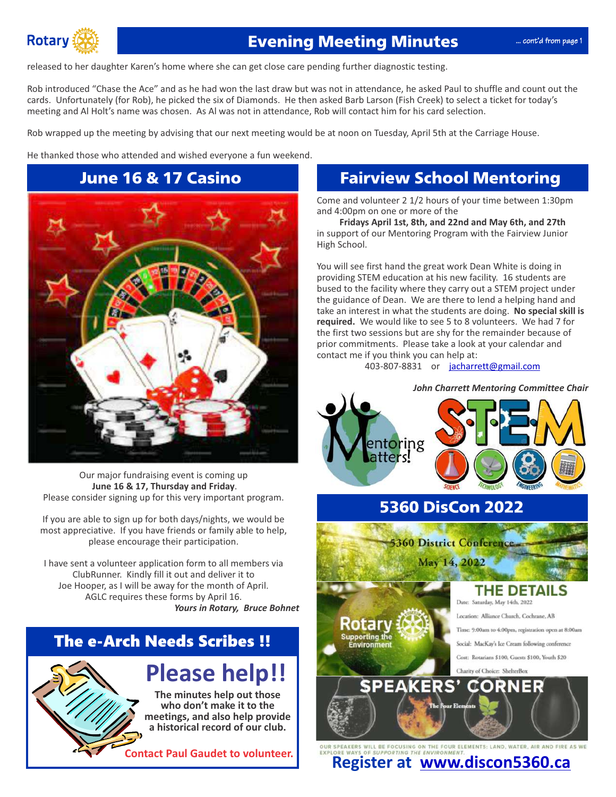

## **Evening Meeting Minutes**

released to her daughter Karen's home where she can get close care pending further diagnostic testing.

Rob introduced "Chase the Ace" and as he had won the last draw but was not in attendance, he asked Paul to shuffle and count out the cards. Unfortunately (for Rob), he picked the six of Diamonds. He then asked Barb Larson (Fish Creek) to select a ticket for today's meeting and Al Holt's name was chosen. As Al was not in attendance, Rob will contact him for his card selection.

Rob wrapped up the meeting by advising that our next meeting would be at noon on Tuesday, April 5th at the Carriage House.

He thanked those who attended and wished everyone a fun weekend.

# **June 16 & 17 Casino**



Our major fundraising event is coming up **June 16 & 17, Thursday and Friday**. Please consider signing up for this very important program.

most appreciative. If you have friends or family able to help, please encourage their participation. If you are able to sign up for both days/nights, we would be

Joe Hooper, as I will be away for the month of April. I have sent a volunteer application form to all members via ClubRunner. Kindly fill it out and deliver it to *Yours in Rotary, Bruce Bohnet* AGLC requires these forms by April 16.

## **The e-Arch Needs Scribes !!**

**Please help!!**

**The minutes help out those who don't make it to the meetings, and also help provide a historical record of our club.**

**Contact Paul Gaudet to volunteer.**

## **Fairview School Mentoring**

Come and volunteer 2 1/2 hours of your time between 1:30pm and 4:00pm on one or more of the

**Fridays April 1st, 8th, and 22nd and May 6th, and 27th** in support of our Mentoring Program with the Fairview Junior High School.

You will see first hand the great work Dean White is doing in providing STEM education at his new facility. 16 students are bused to the facility where they carry out a STEM project under the guidance of Dean. We are there to lend a helping hand and take an interest in what the students are doing. **No special skill is required.** We would like to see 5 to 8 volunteers. We had 7 for the first two sessions but are shy for the remainder because of prior commitments. Please take a look at your calendar and contact me if you think you can help at:

403-807-8831 or [jacharrett@gmail.com](mailto:jacharrett@gmail.com)





## **5360 DisCon 2022**

May 14, 2022

**5360 District Conference** 

Rotary Supporting the<br>Environment

### THE DETAILS

Date: Saturday, May 14th, 2022

Location: Alliance Church, Cochrane, AB

Time: 9:00am to 4:00pm, registration open at 8:00am

Social: MacKay's Ice Cream following conference

Cost: Rotarians \$100, Guests \$100, Youth \$20

Charity of Choice: ShelterBox **SPEAKERS'** 

m



OUR SPEAKERS WILL BE FOCUSING ON THE FOUR ELEMENTS: LAND, WATER, AIR AND FIRE AS WE<br>**Registed at WWW.discon5360.ca**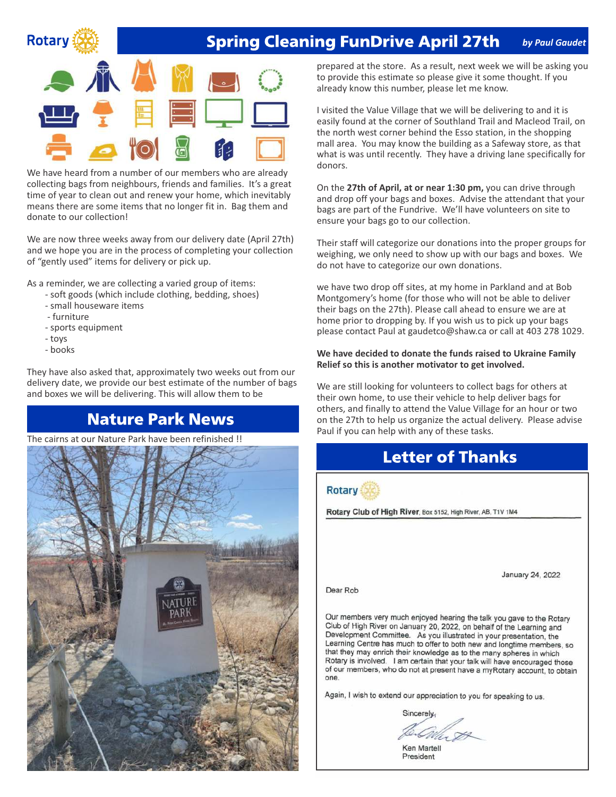## **Rotary**

#### **Spring Cleaning FunDrive April 27th** *by Paul Gaudet*



We have heard from a number of our members who are already collecting bags from neighbours, friends and families. It's a great time of year to clean out and renew your home, which inevitably means there are some items that no longer fit in. Bag them and donate to our collection!

We are now three weeks away from our delivery date (April 27th) and we hope you are in the process of completing your collection of "gently used" items for delivery or pick up.

As a reminder, we are collecting a varied group of items:

- soft goods (which include clothing, bedding, shoes)
- small houseware items
- furniture
- sports equipment
- toys
- books

They have also asked that, approximately two weeks out from our delivery date, we provide our best estimate of the number of bags and boxes we will be delivering. This will allow them to be

## **Nature Park News**

The cairns at our Nature Park have been refinished !!



prepared at the store. As a result, next week we will be asking you to provide this estimate so please give it some thought. If you already know this number, please let me know.

I visited the Value Village that we will be delivering to and it is easily found at the corner of Southland Trail and Macleod Trail, on the north west corner behind the Esso station, in the shopping mall area. You may know the building as a Safeway store, as that what is was until recently. They have a driving lane specifically for donors.

On the **27th of April, at or near 1:30 pm,** you can drive through and drop off your bags and boxes. Advise the attendant that your bags are part of the Fundrive. We'll have volunteers on site to ensure your bags go to our collection.

Their staff will categorize our donations into the proper groups for weighing, we only need to show up with our bags and boxes. We do not have to categorize our own donations.

we have two drop off sites, at my home in Parkland and at Bob Montgomery's home (for those who will not be able to deliver their bags on the 27th). Please call ahead to ensure we are at home prior to dropping by. If you wish us to pick up your bags please contact Paul at gaudetco@shaw.ca or call at 403 278 1029.

### **We have decided to donate the funds raised to Ukraine Family Relief so this is another motivator to get involved.**

We are still looking for volunteers to collect bags for others at their own home, to use their vehicle to help deliver bags for others, and finally to attend the Value Village for an hour or two on the 27th to help us organize the actual delivery. Please advise Paul if you can help with any of these tasks.



Sincerely.

Ken Martell President